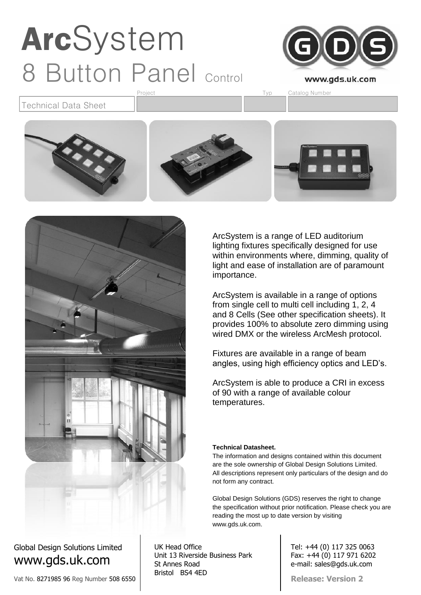

Technical Data Sheet





### Global Design Solutions Limited www.gds.uk.com

Vat No. 8271985 96 Reg Number 508 6550

UK Head Office Unit 13 Riverside Business Park St Annes Road Bristol BS4 4ED

ArcSystem is a range of LED auditorium lighting fixtures specifically designed for use within environments where, dimming, quality of light and ease of installation are of paramount importance.

ArcSystem is available in a range of options from single cell to multi cell including 1, 2, 4 and 8 Cells (See other specification sheets). It provides 100% to absolute zero dimming using wired DMX or the wireless ArcMesh protocol.

Fixtures are available in a range of beam angles, using high efficiency optics and LED's.

ArcSystem is able to produce a CRI in excess of 90 with a range of available colour temperatures.

### **Technical Datasheet.**

The information and designs contained within this document are the sole ownership of Global Design Solutions Limited. All descriptions represent only particulars of the design and do not form any contract.

Global Design Solutions (GDS) reserves the right to change the specification without prior notification. Please check you are reading the most up to date version by visiting www.gds.uk.com.

> Tel: +44 (0) 117 325 0063 Fax: +44 (0) 117 971 6202 e-mail: sales@gds.uk.com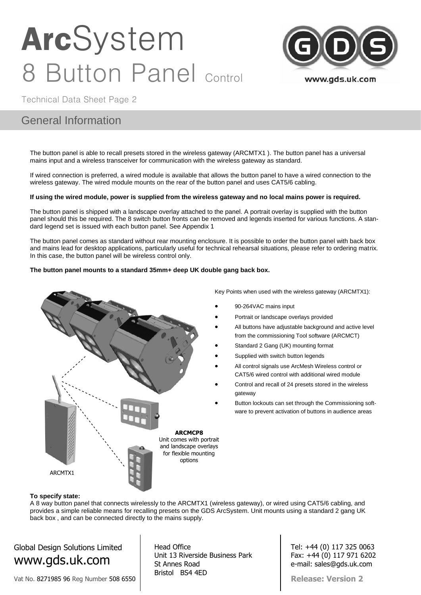

Technical Data Sheet Page 2

### General Information

The button panel is able to recall presets stored in the wireless gateway (ARCMTX1 ). The button panel has a universal mains input and a wireless transceiver for communication with the wireless gateway as standard.

If wired connection is preferred, a wired module is available that allows the button panel to have a wired connection to the wireless gateway. The wired module mounts on the rear of the button panel and uses CAT5/6 cabling.

#### **If using the wired module, power is supplied from the wireless gateway and no local mains power is required.**

The button panel is shipped with a landscape overlay attached to the panel. A portrait overlay is supplied with the button panel should this be required. The 8 switch button fronts can be removed and legends inserted for various functions. A standard legend set is issued with each button panel. See Appendix 1

The button panel comes as standard without rear mounting enclosure. It is possible to order the button panel with back box and mains lead for desktop applications, particularly useful for technical rehearsal situations, please refer to ordering matrix. In this case, the button panel will be wireless control only.

#### **The button panel mounts to a standard 35mm+ deep UK double gang back box.**



Key Points when used with the wireless gateway (ARCMTX1):

- 90-264VAC mains input
- Portrait or landscape overlays provided
- All buttons have adjustable background and active level from the commissioning Tool software (ARCMCT)
- Standard 2 Gang (UK) mounting format
- Supplied with switch button legends
- All control signals use ArcMesh Wireless control or CAT5/6 wired control with additional wired module
- Control and recall of 24 presets stored in the wireless gateway
- Button lockouts can set through the Commissioning software to prevent activation of buttons in audience areas

#### **To specify state:**

A 8 way button panel that connects wirelessly to the ARCMTX1 (wireless gateway), or wired using CAT5/6 cabling, and provides a simple reliable means for recalling presets on the GDS ArcSystem. Unit mounts using a standard 2 gang UK back box , and can be connected directly to the mains supply.

Global Design Solutions Limited www.gds.uk.com

Vat No. 8271985 96 Reg Number 508 6550

Head Office Unit 13 Riverside Business Park St Annes Road Bristol BS4 4ED

Tel: +44 (0) 117 325 0063 Fax: +44 (0) 117 971 6202 e-mail: sales@gds.uk.com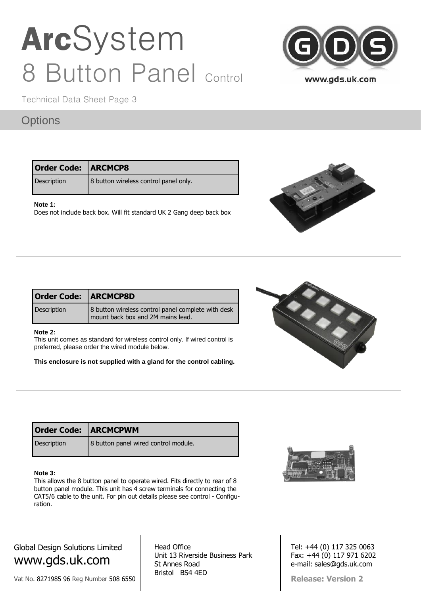

Technical Data Sheet Page 3

### **Options**

| <b>Order Code: ARCMCP8</b> |                                       |
|----------------------------|---------------------------------------|
| Description                | 8 button wireless control panel only. |

### **Note 1:**

Does not include back box. Will fit standard UK 2 Gang deep back box



| <b>Order Code:   ARCMCP8D</b> |                                                                                         |  |  |  |  |  |
|-------------------------------|-----------------------------------------------------------------------------------------|--|--|--|--|--|
| Description                   | 8 button wireless control panel complete with desk<br>mount back box and 2M mains lead. |  |  |  |  |  |

#### **Note 2:**

This unit comes as standard for wireless control only. If wired control is preferred, please order the wired module below.

**This enclosure is not supplied with a gland for the control cabling.**



| <b>Order Code: ARCMCPWM</b> |                                      |
|-----------------------------|--------------------------------------|
| Description                 | 8 button panel wired control module. |

#### **Note 3:**

This allows the 8 button panel to operate wired. Fits directly to rear of 8 button panel module. This unit has 4 screw terminals for connecting the CAT5/6 cable to the unit. For pin out details please see control - Configuration.



Vat No. 8271985 96 Reg Number 508 6550

Head Office Unit 13 Riverside Business Park St Annes Road Bristol BS4 4ED



Tel: +44 (0) 117 325 0063 Fax: +44 (0) 117 971 6202 e-mail: sales@gds.uk.com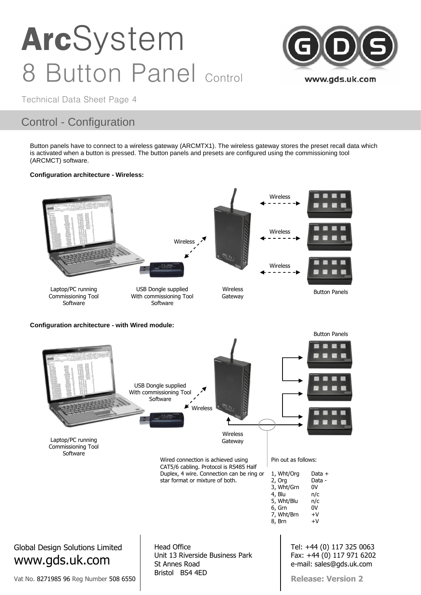

Technical Data Sheet Page 4

### Control - Configuration

Button panels have to connect to a wireless gateway (ARCMTX1). The wireless gateway stores the preset recall data which is activated when a button is pressed. The button panels and presets are configured using the commissioning tool (ARCMCT) software.

### **Configuration architecture - Wireless:**

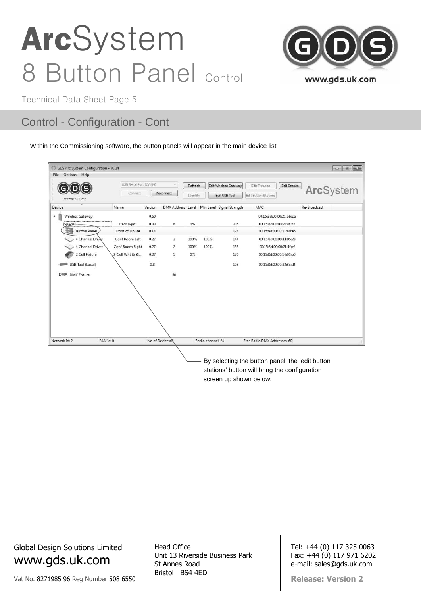

Technical Data Sheet Page 5

### Control - Configuration - Cont

Within the Commissioning software, the button panels will appear in the main device list

| Options Help<br>File |                        |                |                                             |          |                   |                       |                              |              |
|----------------------|------------------------|----------------|---------------------------------------------|----------|-------------------|-----------------------|------------------------------|--------------|
|                      | USB Serial Port (COM9) |                | ×                                           | Refresh  |                   | Edit Wireless Gateway | Edit Fixtures<br>Edit Scenes |              |
| www.gds.uk.com       | Connect                |                | Disconnect                                  | Identify |                   | Edit USB Tool         | <b>Edit Button Stations</b>  | ArcSystem    |
| Device               | Name                   | Version        | DMX Address Level Min Level Signal Strength |          |                   |                       | MAC                          | Re-Broadcast |
| Wireless Gateway     |                        | 0.60           |                                             |          |                   |                       | 00:15:8d:00:00:21:bb:cb      |              |
| Special              | Track light1           | 0.33           | 6                                           | 0%       |                   | 205                   | 00:15:8d:00:00:21:4f:57      |              |
| <b>Button Panel</b>  | Front of House         | 0.14           |                                             |          |                   | 128                   | 00:15:8d:00:00:21:ad:a6      |              |
| 4 Channel Driver     | Conf Room Left         | 0.27           | $\overline{2}$                              | 100%     | 100%              | 144                   | 00:15:8d:00:00:14:95:28      |              |
| 4 Channel Driver     | Conf Room Right        | 0.27           | $\overline{2}$                              | 100%     | 100%              | 153                   | 00:15:8d:00:00:21:4f:ef      |              |
| 2 Cell Fixture       | 2-Cell Wht & Bl        | 0.27           | $\mathbf{1}$                                | 0%       |                   | 170                   | 00:15:8d:00:00:14:95:b0      |              |
| USB Tool (Local)     |                        | 0.8            |                                             |          |                   | 103                   | 00:15:8d:00:00:32:8c:d4      |              |
| DMX DMX Fixture      |                        |                | 50                                          |          |                   |                       |                              |              |
|                      |                        |                |                                             |          |                   |                       |                              |              |
|                      |                        |                |                                             |          |                   |                       |                              |              |
|                      |                        |                |                                             |          |                   |                       |                              |              |
|                      |                        |                |                                             |          |                   |                       |                              |              |
| Network Id: 2        | PAN Id: 0              | No of Devices: |                                             |          | Radio channel: 24 |                       | Free Radio DMX Addresses: 60 |              |

stations' button will bring the configuration screen up shown below:

Global Design Solutions Limited www.gds.uk.com

Vat No. 8271985 96 Reg Number 508 6550

Head Office Unit 13 Riverside Business Park St Annes Road Bristol BS4 4ED

Tel: +44 (0) 117 325 0063 Fax: +44 (0) 117 971 6202 e-mail: sales@gds.uk.com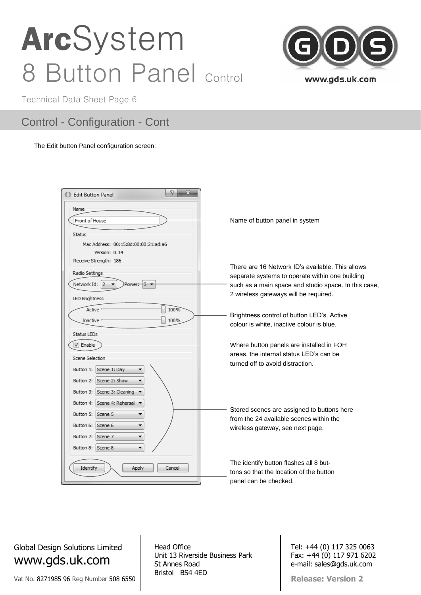

Technical Data Sheet Page 6

### Control - Configuration - Cont

#### The Edit button Panel configuration screen:

| 8<br>x<br><b>63 Edit Button Panel</b>             |                                                      |
|---------------------------------------------------|------------------------------------------------------|
| Name                                              |                                                      |
| Front of House                                    | Name of button panel in system                       |
| Status                                            |                                                      |
| Mac Address: 00:15:8d:00:00:21:ad:a6              |                                                      |
| Version: 0.14                                     |                                                      |
| Receive Strength: 186                             | There are 16 Network ID's available. This allows     |
| Radio Settings                                    |                                                      |
| Network Id: 2                                     | separate systems to operate within one building      |
| Power                                             | such as a main space and studio space. In this case, |
| LED Brightness                                    | 2 wireless gateways will be required.                |
| 100%<br>Active                                    |                                                      |
|                                                   | Brightness control of button LED's. Active           |
| 100%<br>Inactive                                  | colour is white, inactive colour is blue.            |
| Status LEDs                                       |                                                      |
| V Enable                                          | Where button panels are installed in FOH             |
|                                                   |                                                      |
| Scene Selection                                   | areas, the internal status LED's can be              |
| Scene 1: Day<br>Button 1:                         | turned off to avoid distraction.                     |
| Scene 2: Show<br>Button 2:<br>۰                   |                                                      |
| Button 3: Scene 3: Cleaning ▼                     |                                                      |
| Button 4: Scene 4: Rehersal $\blacktriangleright$ |                                                      |
| Button 5: Scene 5                                 | Stored scenes are assigned to buttons here           |
| Button 6: Scene 6                                 | from the 24 available scenes within the              |
|                                                   | wireless gateway, see next page.                     |
| Button 7: Scene 7<br>۰                            |                                                      |
| Button 8: Scene 8<br>۰                            |                                                      |
|                                                   | The identify button flashes all 8 but-               |
| Identify<br>Apply<br>Cancel                       | tons so that the location of the button              |
|                                                   | panel can be checked.                                |
|                                                   |                                                      |

Global Design Solutions Limited www.gds.uk.com

Vat No. 8271985 96 Reg Number 508 6550

Head Office Unit 13 Riverside Business Park St Annes Road Bristol BS4 4ED

Tel: +44 (0) 117 325 0063 Fax: +44 (0) 117 971 6202 e-mail: sales@gds.uk.com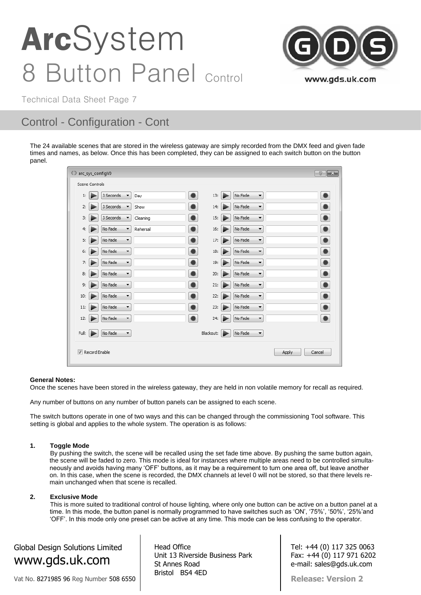

Technical Data Sheet Page 7

### Control - Configuration - Cont

The 24 available scenes that are stored in the wireless gateway are simply recorded from the DMX feed and given fade times and names, as below. Once this has been completed, they can be assigned to each switch button on the button panel.

| C arc_sys_configV0 |                |                                   |          |           |           |   |                                     |       | $\mathbb{R}$ $\mathbb{R}$ |  |
|--------------------|----------------|-----------------------------------|----------|-----------|-----------|---|-------------------------------------|-------|---------------------------|--|
|                    | Scene Controls |                                   |          |           |           |   |                                     |       |                           |  |
| 1:                 |                | 3 Seconds<br>▼                    | Day      | ٠         | 13:       |   | No Fade<br>۰                        |       | $\bullet$                 |  |
| 2:                 |                | 3 Seconds                         | Show     |           | 14:       |   | No Fade<br>$\blacktriangledown$     |       | $\bullet$                 |  |
| 3:                 |                | 3 Seconds<br>$\blacktriangledown$ | Cleaning |           | 15:       |   | No Fade<br>$\blacktriangledown$     |       | $\bullet$                 |  |
| 4:                 |                | No Fade<br>$\blacktriangledown$   | Rehersal | ۰         | 16:       |   | No Fade<br>▼                        |       | $\bullet$                 |  |
| 5:                 |                | No Fade<br>$\blacktriangledown$   |          | $\bullet$ | 17:       |   | No Fade<br>$\overline{\phantom{a}}$ |       | $\bullet$                 |  |
| 6:                 |                | No Fade<br>$\blacktriangledown$   |          | $\bullet$ | 18:       |   | No Fade<br>$\blacktriangledown$     |       | $\bullet$                 |  |
| 7:                 |                | No Fade<br>$\blacktriangledown$   |          | $\bullet$ | 19:       |   | No Fade<br>▼                        |       | $\bullet$                 |  |
| 8:                 |                | No Fade<br>$\blacktriangledown$   |          | $\bullet$ | 20:       |   | No Fade<br>$\overline{\phantom{a}}$ |       | $\bullet$                 |  |
| 9:                 |                | No Fade<br>$\blacktriangledown$   |          | $\bullet$ | 21:       |   | No Fade<br>$\blacktriangledown$     |       | $\bullet$                 |  |
| 10:                |                | No Fade<br>$\blacktriangledown$   |          | $\bullet$ | 22:       |   | No Fade<br>▼                        |       | $\bullet$                 |  |
| 11:                |                | No Fade<br>$\blacktriangledown$   |          |           | 23:       |   | No Fade<br>۳                        |       | $\bullet$                 |  |
| 12:                |                | No Fade<br>$\blacktriangledown$   |          |           | 24:       |   | No Fade<br>$\blacktriangledown$     |       | $\bullet$                 |  |
| Full:              |                | No Fade<br>$\blacktriangledown$   |          |           | Blackout: | ⋗ | No Fade<br>$\blacktriangledown$     |       |                           |  |
|                    | Record Enable  |                                   |          |           |           |   |                                     | Apply | Cancel                    |  |

#### **General Notes:**

Once the scenes have been stored in the wireless gateway, they are held in non volatile memory for recall as required.

Any number of buttons on any number of button panels can be assigned to each scene.

The switch buttons operate in one of two ways and this can be changed through the commissioning Tool software. This setting is global and applies to the whole system. The operation is as follows:

#### **1. Toggle Mode**

By pushing the switch, the scene will be recalled using the set fade time above. By pushing the same button again, the scene will be faded to zero. This mode is ideal for instances where multiple areas need to be controlled simultaneously and avoids having many 'OFF' buttons, as it may be a requirement to turn one area off, but leave another on. In this case, when the scene is recorded, the DMX channels at level 0 will not be stored, so that there levels remain unchanged when that scene is recalled.

#### **2. Exclusive Mode**

This is more suited to traditional control of house lighting, where only one button can be active on a button panel at a time. In this mode, the button panel is normally programmed to have switches such as 'ON', '75%', '50%', '25%'and 'OFF'. In this mode only one preset can be active at any time. This mode can be less confusing to the operator.

Global Design Solutions Limited www.gds.uk.com

Vat No. 8271985 96 Reg Number 508 6550

Head Office Unit 13 Riverside Business Park St Annes Road Bristol BS4 4ED

Tel: +44 (0) 117 325 0063 Fax: +44 (0) 117 971 6202 e-mail: sales@gds.uk.com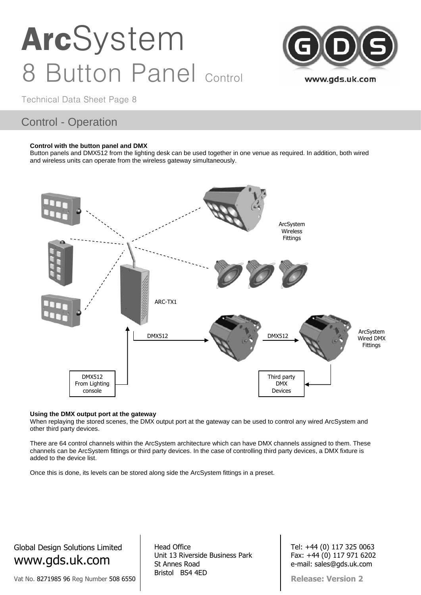

Technical Data Sheet Page 8

### Control - Operation

#### **Control with the button panel and DMX**

Button panels and DMX512 from the lighting desk can be used together in one venue as required. In addition, both wired and wireless units can operate from the wireless gateway simultaneously.



#### **Using the DMX output port at the gateway**

When replaying the stored scenes, the DMX output port at the gateway can be used to control any wired ArcSystem and other third party devices.

There are 64 control channels within the ArcSystem architecture which can have DMX channels assigned to them. These channels can be ArcSystem fittings or third party devices. In the case of controlling third party devices, a DMX fixture is added to the device list.

Once this is done, its levels can be stored along side the ArcSystem fittings in a preset.

Global Design Solutions Limited www.gds.uk.com

Vat No. 8271985 96 Reg Number 508 6550

Head Office Unit 13 Riverside Business Park St Annes Road Bristol BS4 4ED

Tel: +44 (0) 117 325 0063 Fax: +44 (0) 117 971 6202 e-mail: sales@gds.uk.com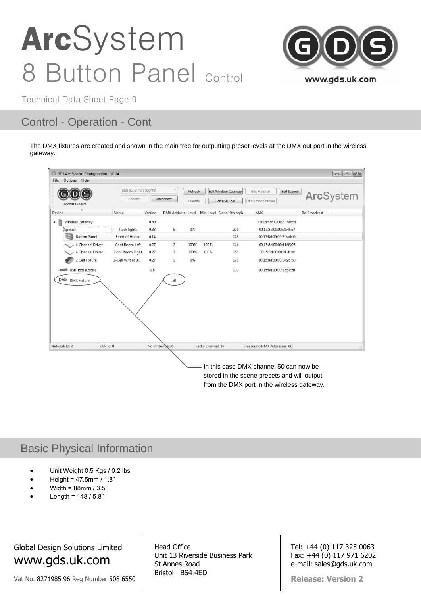

Technical Data Sheet Page 9

### Control - Operation - Cont

The DMX fixtures are created and shown in the main tree for outputting preset levels at the DMX out port in the wireless gateway.



In this case DMX channel 50 can now be stored in the scene presets and will output from the DMX port in the wireless gateway.

### Basic Physical Information

- Unit Weight 0.5 Kgs / 0.2 lbs
- $\bullet$  Height = 47.5mm / 1.8"
- Width = 88mm / 3.5"
- Length =  $148 / 5.8$ "

Global Design Solutions Limited www.gds.uk.com

Vat No. 8271985 96 Reg Number 508 6550

Head Office Unit 13 Riverside Business Park St Annes Road Bristol BS4 4ED

Tel: +44 (0) 117 325 0063 Fax: +44 (0) 117 971 6202 e-mail: sales@gds.uk.com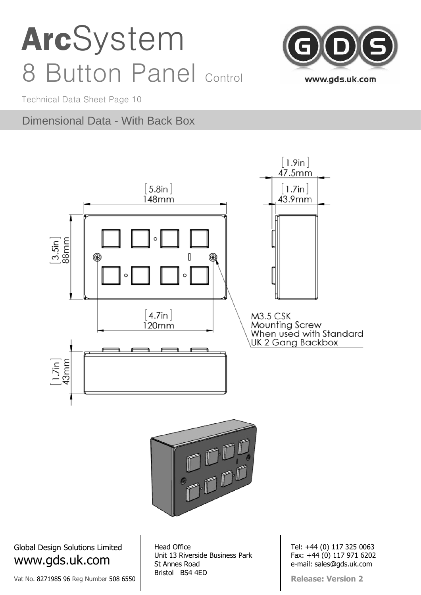

Technical Data Sheet Page 10

### Dimensional Data - With Back Box



Global Design Solutions Limited www.gds.uk.com

Vat No. 8271985 96 Reg Number 508 6550

Head Office Unit 13 Riverside Business Park St Annes Road Bristol BS4 4ED

Tel: +44 (0) 117 325 0063 Fax: +44 (0) 117 971 6202 e-mail: sales@gds.uk.com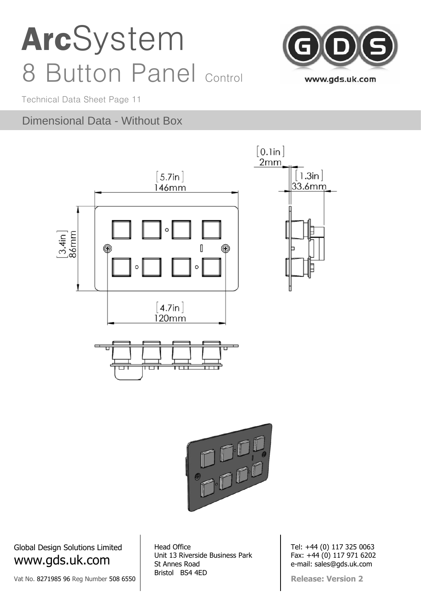

Technical Data Sheet Page 11

### Dimensional Data - Without Box





Global Design Solutions Limited www.gds.uk.com

Vat No. 8271985 96 Reg Number 508 6550

Head Office Unit 13 Riverside Business Park St Annes Road Bristol BS4 4ED

Tel: +44 (0) 117 325 0063 Fax: +44 (0) 117 971 6202 e-mail: sales@gds.uk.com